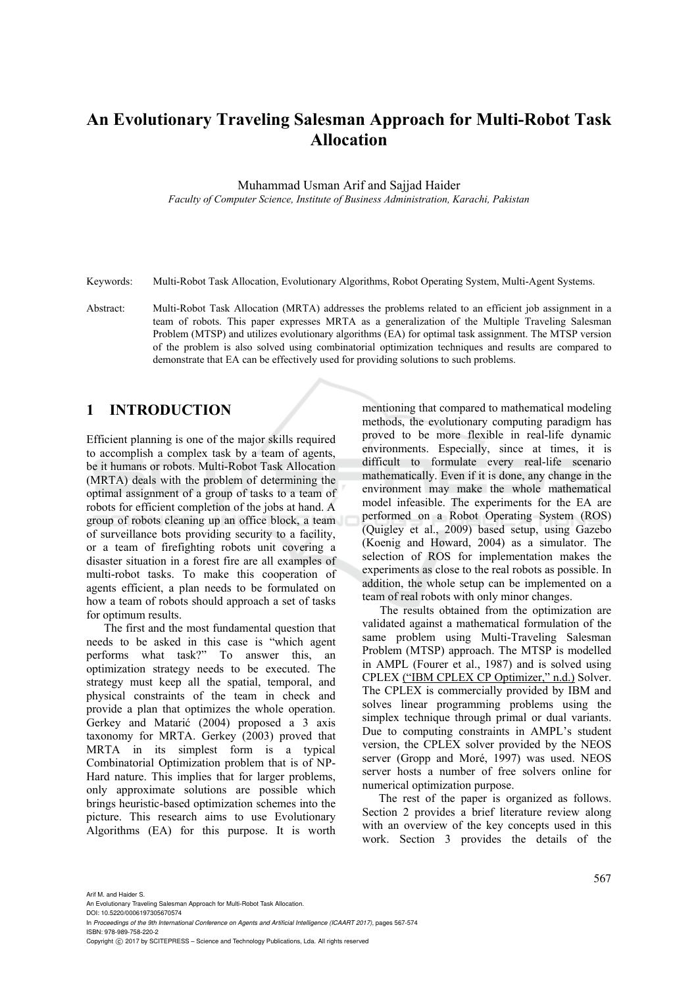# **An Evolutionary Traveling Salesman Approach for Multi-Robot Task Allocation**

Muhammad Usman Arif and Sajjad Haider

*Faculty of Computer Science, Institute of Business Administration, Karachi, Pakistan* 

Keywords: Multi-Robot Task Allocation, Evolutionary Algorithms, Robot Operating System, Multi-Agent Systems.

Abstract: Multi-Robot Task Allocation (MRTA) addresses the problems related to an efficient job assignment in a team of robots. This paper expresses MRTA as a generalization of the Multiple Traveling Salesman Problem (MTSP) and utilizes evolutionary algorithms (EA) for optimal task assignment. The MTSP version of the problem is also solved using combinatorial optimization techniques and results are compared to demonstrate that EA can be effectively used for providing solutions to such problems.

# **1 INTRODUCTION**

Efficient planning is one of the major skills required to accomplish a complex task by a team of agents, be it humans or robots. Multi-Robot Task Allocation (MRTA) deals with the problem of determining the optimal assignment of a group of tasks to a team of robots for efficient completion of the jobs at hand. A group of robots cleaning up an office block, a team of surveillance bots providing security to a facility, or a team of firefighting robots unit covering a disaster situation in a forest fire are all examples of multi-robot tasks. To make this cooperation of agents efficient, a plan needs to be formulated on how a team of robots should approach a set of tasks for optimum results.

The first and the most fundamental question that needs to be asked in this case is "which agent performs what task?" To answer this, an optimization strategy needs to be executed. The strategy must keep all the spatial, temporal, and physical constraints of the team in check and provide a plan that optimizes the whole operation. Gerkey and Matarić (2004) proposed a 3 axis taxonomy for MRTA. Gerkey (2003) proved that MRTA in its simplest form is a typical Combinatorial Optimization problem that is of NP-Hard nature. This implies that for larger problems, only approximate solutions are possible which brings heuristic-based optimization schemes into the picture. This research aims to use Evolutionary Algorithms (EA) for this purpose. It is worth

mentioning that compared to mathematical modeling methods, the evolutionary computing paradigm has proved to be more flexible in real-life dynamic environments. Especially, since at times, it is difficult to formulate every real-life scenario mathematically. Even if it is done, any change in the environment may make the whole mathematical model infeasible. The experiments for the EA are performed on a Robot Operating System (ROS) (Quigley et al., 2009) based setup, using Gazebo (Koenig and Howard, 2004) as a simulator. The selection of ROS for implementation makes the experiments as close to the real robots as possible. In addition, the whole setup can be implemented on a team of real robots with only minor changes.

The results obtained from the optimization are validated against a mathematical formulation of the same problem using Multi-Traveling Salesman Problem (MTSP) approach. The MTSP is modelled in AMPL (Fourer et al., 1987) and is solved using CPLEX ("IBM CPLEX CP Optimizer," n.d.) Solver. The CPLEX is commercially provided by IBM and solves linear programming problems using the simplex technique through primal or dual variants. Due to computing constraints in AMPL's student version, the CPLEX solver provided by the NEOS server (Gropp and Moré, 1997) was used. NEOS server hosts a number of free solvers online for numerical optimization purpose.

The rest of the paper is organized as follows. Section 2 provides a brief literature review along with an overview of the key concepts used in this work. Section 3 provides the details of the

Arif M. and Haider S.

DOI: 10.5220/0006197305670574 In *Proceedings of the 9th International Conference on Agents and Artificial Intelligence (ICAART 2017)*, pages 567-574

An Evolutionary Traveling Salesman Approach for Multi-Robot Task Allocation.

ISBN: 978-989-758-220-2

Copyright © 2017 by SCITEPRESS - Science and Technology Publications, Lda. All rights reserved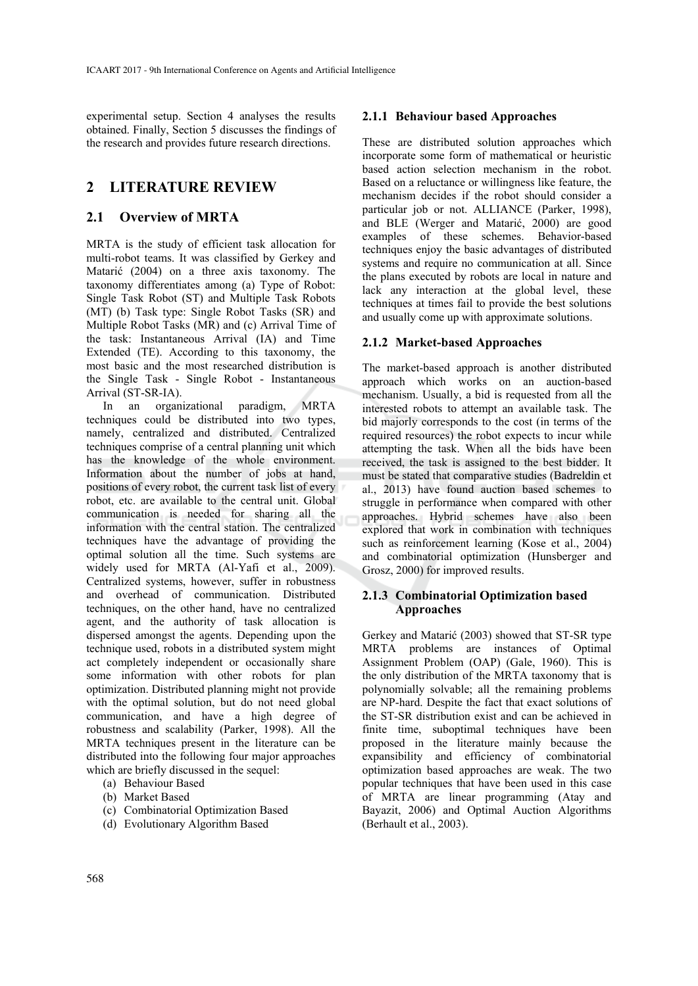experimental setup. Section 4 analyses the results obtained. Finally, Section 5 discusses the findings of the research and provides future research directions.

# **2 LITERATURE REVIEW**

# **2.1 Overview of MRTA**

MRTA is the study of efficient task allocation for multi-robot teams. It was classified by Gerkey and Matarić (2004) on a three axis taxonomy. The taxonomy differentiates among (a) Type of Robot: Single Task Robot (ST) and Multiple Task Robots (MT) (b) Task type: Single Robot Tasks (SR) and Multiple Robot Tasks (MR) and (c) Arrival Time of the task: Instantaneous Arrival (IA) and Time Extended (TE). According to this taxonomy, the most basic and the most researched distribution is the Single Task - Single Robot - Instantaneous Arrival (ST-SR-IA).

In an organizational paradigm, MRTA techniques could be distributed into two types, namely, centralized and distributed. Centralized techniques comprise of a central planning unit which has the knowledge of the whole environment. Information about the number of jobs at hand, positions of every robot, the current task list of every robot, etc. are available to the central unit. Global communication is needed for sharing all the information with the central station. The centralized techniques have the advantage of providing the optimal solution all the time. Such systems are widely used for MRTA (Al-Yafi et al., 2009). Centralized systems, however, suffer in robustness and overhead of communication. Distributed techniques, on the other hand, have no centralized agent, and the authority of task allocation is dispersed amongst the agents. Depending upon the technique used, robots in a distributed system might act completely independent or occasionally share some information with other robots for plan optimization. Distributed planning might not provide with the optimal solution, but do not need global communication, and have a high degree of robustness and scalability (Parker, 1998). All the MRTA techniques present in the literature can be distributed into the following four major approaches which are briefly discussed in the sequel:

- (a) Behaviour Based
- (b) Market Based
- (c) Combinatorial Optimization Based
- (d) Evolutionary Algorithm Based

### **2.1.1 Behaviour based Approaches**

These are distributed solution approaches which incorporate some form of mathematical or heuristic based action selection mechanism in the robot. Based on a reluctance or willingness like feature, the mechanism decides if the robot should consider a particular job or not. ALLIANCE (Parker, 1998), and BLE (Werger and Matarić, 2000) are good examples of these schemes. Behavior-based techniques enjoy the basic advantages of distributed systems and require no communication at all. Since the plans executed by robots are local in nature and lack any interaction at the global level, these techniques at times fail to provide the best solutions and usually come up with approximate solutions.

# **2.1.2 Market-based Approaches**

The market-based approach is another distributed approach which works on an auction-based mechanism. Usually, a bid is requested from all the interested robots to attempt an available task. The bid majorly corresponds to the cost (in terms of the required resources) the robot expects to incur while attempting the task. When all the bids have been received, the task is assigned to the best bidder. It must be stated that comparative studies (Badreldin et al., 2013) have found auction based schemes to struggle in performance when compared with other approaches. Hybrid schemes have also been explored that work in combination with techniques such as reinforcement learning (Kose et al., 2004) and combinatorial optimization (Hunsberger and Grosz, 2000) for improved results.

# **2.1.3 Combinatorial Optimization based Approaches**

Gerkey and Matarić (2003) showed that ST-SR type MRTA problems are instances of Optimal Assignment Problem (OAP) (Gale, 1960). This is the only distribution of the MRTA taxonomy that is polynomially solvable; all the remaining problems are NP-hard. Despite the fact that exact solutions of the ST-SR distribution exist and can be achieved in finite time, suboptimal techniques have been proposed in the literature mainly because the expansibility and efficiency of combinatorial optimization based approaches are weak. The two popular techniques that have been used in this case of MRTA are linear programming (Atay and Bayazit, 2006) and Optimal Auction Algorithms (Berhault et al., 2003).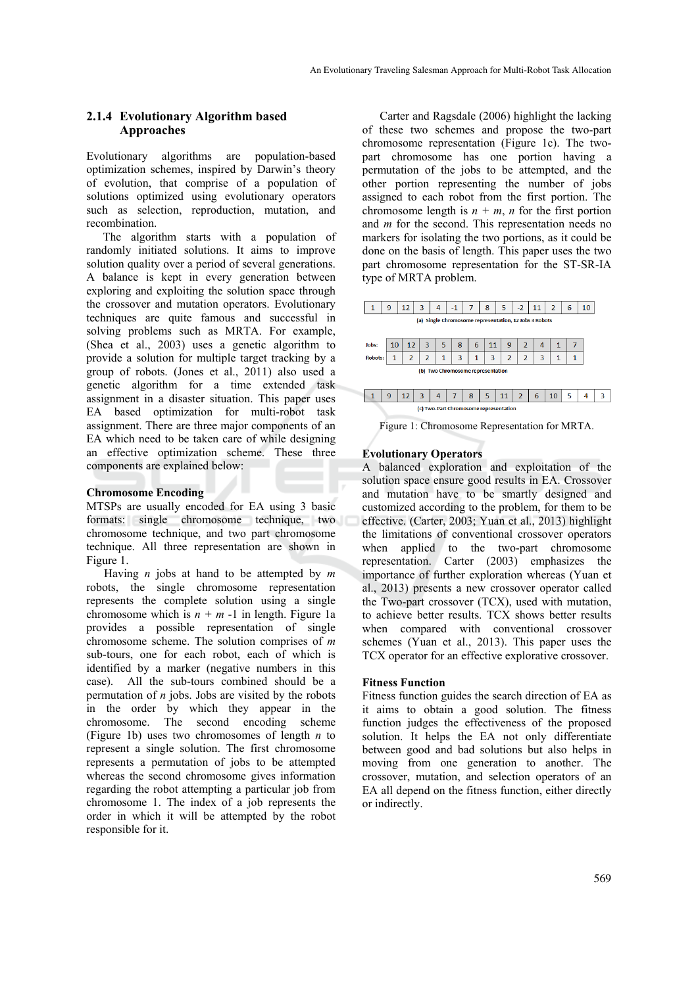# **2.1.4 Evolutionary Algorithm based Approaches**

Evolutionary algorithms are population-based optimization schemes, inspired by Darwin's theory of evolution, that comprise of a population of solutions optimized using evolutionary operators such as selection, reproduction, mutation, and recombination.

The algorithm starts with a population of randomly initiated solutions. It aims to improve solution quality over a period of several generations. A balance is kept in every generation between exploring and exploiting the solution space through the crossover and mutation operators. Evolutionary techniques are quite famous and successful in solving problems such as MRTA. For example, (Shea et al., 2003) uses a genetic algorithm to provide a solution for multiple target tracking by a group of robots. (Jones et al., 2011) also used a genetic algorithm for a time extended task assignment in a disaster situation. This paper uses EA based optimization for multi-robot task assignment. There are three major components of an EA which need to be taken care of while designing an effective optimization scheme. These three components are explained below:

#### **Chromosome Encoding**

MTSPs are usually encoded for EA using 3 basic formats: single chromosome technique, two chromosome technique, and two part chromosome technique. All three representation are shown in Figure 1.

Having *n* jobs at hand to be attempted by *m* robots, the single chromosome representation represents the complete solution using a single chromosome which is  $n + m - 1$  in length. Figure 1a provides a possible representation of single chromosome scheme. The solution comprises of *m* sub-tours, one for each robot, each of which is identified by a marker (negative numbers in this case). All the sub-tours combined should be a permutation of *n* jobs. Jobs are visited by the robots in the order by which they appear in the chromosome. The second encoding scheme (Figure 1b) uses two chromosomes of length *n* to represent a single solution. The first chromosome represents a permutation of jobs to be attempted whereas the second chromosome gives information regarding the robot attempting a particular job from chromosome 1. The index of a job represents the order in which it will be attempted by the robot responsible for it.

Carter and Ragsdale (2006) highlight the lacking of these two schemes and propose the two-part chromosome representation (Figure 1c). The twopart chromosome has one portion having a permutation of the jobs to be attempted, and the other portion representing the number of jobs assigned to each robot from the first portion. The chromosome length is  $n + m$ , *n* for the first portion and *m* for the second. This representation needs no markers for isolating the two portions, as it could be done on the basis of length. This paper uses the two part chromosome representation for the ST-SR-IA type of MRTA problem.

|                                                        | 9  | 12             | 3              | 4 | $-1$           | 7 | 8  | 5              | $-2$           | 11 | 2            | 6 | 10 |   |
|--------------------------------------------------------|----|----------------|----------------|---|----------------|---|----|----------------|----------------|----|--------------|---|----|---|
| (a) Single Chromosome representation, 12 Jobs 3 Robots |    |                |                |   |                |   |    |                |                |    |              |   |    |   |
|                                                        |    |                |                |   |                |   |    |                |                |    |              |   |    |   |
| Jobs:                                                  | 10 | 12             | 3              | 5 | 8              | 6 | 11 | 9              | 2              | 4  | $\mathbf{1}$ | 7 |    |   |
| <b>Robots:</b>                                         | 1  | $\overline{2}$ | $\overline{2}$ | 1 | 3              | 1 | 3  | $\overline{2}$ | $\overline{2}$ | 3  | 1            |   |    |   |
| (b) Two Chromosome representation                      |    |                |                |   |                |   |    |                |                |    |              |   |    |   |
|                                                        |    |                |                |   |                |   |    |                |                |    |              |   |    |   |
| 1                                                      | 9  | 12             | 3              | 4 | $\overline{7}$ | 8 | 5  | 11             | $\overline{2}$ | 6  | 10           | 5 | 4  | 3 |
| (c) Two-Part Chromosome representation                 |    |                |                |   |                |   |    |                |                |    |              |   |    |   |



#### **Evolutionary Operators**

A balanced exploration and exploitation of the solution space ensure good results in EA. Crossover and mutation have to be smartly designed and customized according to the problem, for them to be effective. (Carter, 2003; Yuan et al., 2013) highlight the limitations of conventional crossover operators when applied to the two-part chromosome representation. Carter (2003) emphasizes the importance of further exploration whereas (Yuan et al., 2013) presents a new crossover operator called the Two-part crossover (TCX), used with mutation, to achieve better results. TCX shows better results when compared with conventional crossover schemes (Yuan et al., 2013). This paper uses the TCX operator for an effective explorative crossover.

#### **Fitness Function**

Fitness function guides the search direction of EA as it aims to obtain a good solution. The fitness function judges the effectiveness of the proposed solution. It helps the EA not only differentiate between good and bad solutions but also helps in moving from one generation to another. The crossover, mutation, and selection operators of an EA all depend on the fitness function, either directly or indirectly.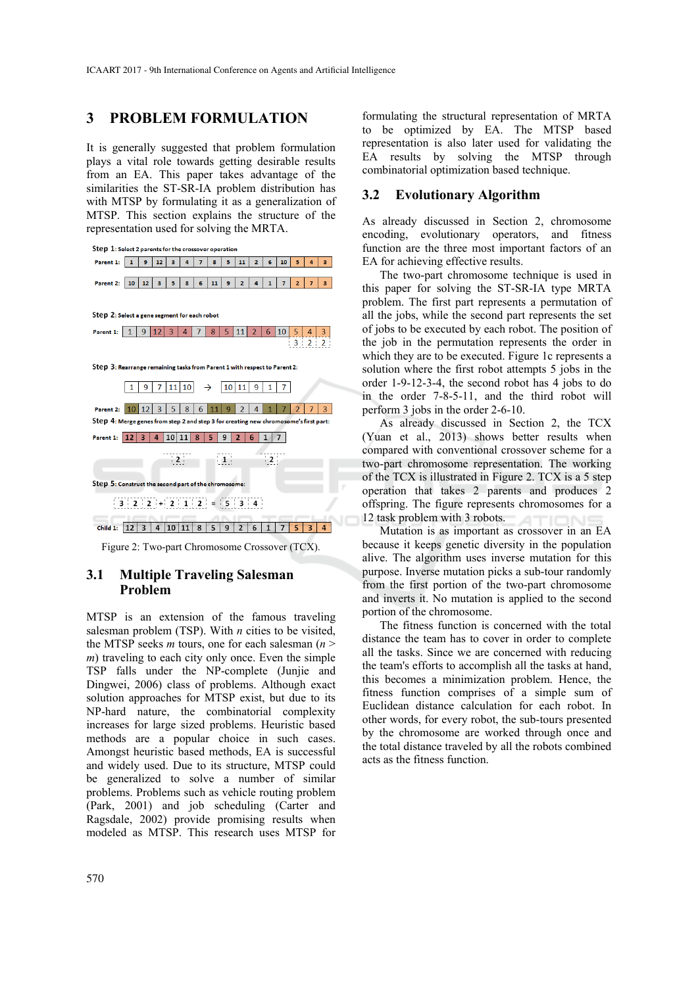# **3 PROBLEM FORMULATION**

It is generally suggested that problem formulation plays a vital role towards getting desirable results from an EA. This paper takes advantage of the similarities the ST-SR-IA problem distribution has with MTSP by formulating it as a generalization of MTSP. This section explains the structure of the representation used for solving the MRTA.



## **3.1 Multiple Traveling Salesman Problem**

MTSP is an extension of the famous traveling salesman problem (TSP). With *n* cities to be visited, the MTSP seeks *m* tours, one for each salesman  $(n \geq$ *m*) traveling to each city only once. Even the simple TSP falls under the NP-complete (Junjie and Dingwei, 2006) class of problems. Although exact solution approaches for MTSP exist, but due to its NP-hard nature, the combinatorial complexity increases for large sized problems. Heuristic based methods are a popular choice in such cases. Amongst heuristic based methods, EA is successful and widely used. Due to its structure, MTSP could be generalized to solve a number of similar problems. Problems such as vehicle routing problem (Park, 2001) and job scheduling (Carter and Ragsdale, 2002) provide promising results when modeled as MTSP. This research uses MTSP for

formulating the structural representation of MRTA to be optimized by EA. The MTSP based representation is also later used for validating the EA results by solving the MTSP through combinatorial optimization based technique.

# **3.2 Evolutionary Algorithm**

As already discussed in Section 2, chromosome encoding, evolutionary operators, and fitness function are the three most important factors of an EA for achieving effective results.

The two-part chromosome technique is used in this paper for solving the ST-SR-IA type MRTA problem. The first part represents a permutation of all the jobs, while the second part represents the set of jobs to be executed by each robot. The position of the job in the permutation represents the order in which they are to be executed. Figure 1c represents a solution where the first robot attempts 5 jobs in the order 1-9-12-3-4, the second robot has 4 jobs to do in the order 7-8-5-11, and the third robot will perform 3 jobs in the order 2-6-10.

As already discussed in Section 2, the TCX (Yuan et al., 2013) shows better results when compared with conventional crossover scheme for a two-part chromosome representation. The working of the TCX is illustrated in Figure 2. TCX is a 5 step operation that takes 2 parents and produces 2 offspring. The figure represents chromosomes for a 12 task problem with 3 robots. AТ

Mutation is as important as crossover in an EA because it keeps genetic diversity in the population alive. The algorithm uses inverse mutation for this purpose. Inverse mutation picks a sub-tour randomly from the first portion of the two-part chromosome and inverts it. No mutation is applied to the second portion of the chromosome.

The fitness function is concerned with the total distance the team has to cover in order to complete all the tasks. Since we are concerned with reducing the team's efforts to accomplish all the tasks at hand, this becomes a minimization problem. Hence, the fitness function comprises of a simple sum of Euclidean distance calculation for each robot. In other words, for every robot, the sub-tours presented by the chromosome are worked through once and the total distance traveled by all the robots combined acts as the fitness function.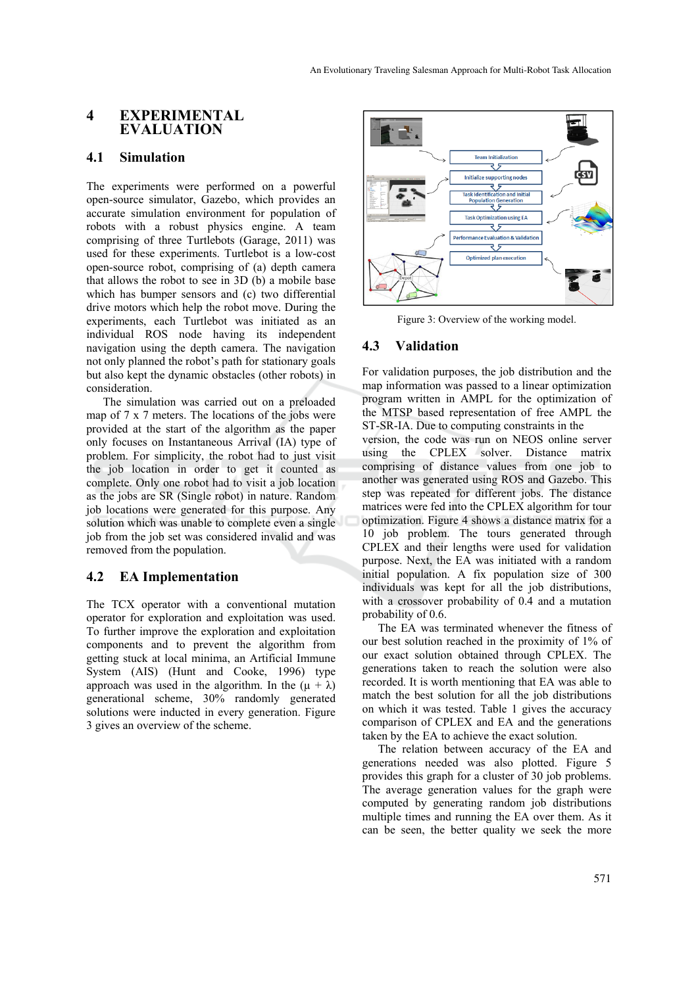# **4 EXPERIMENTAL EVALUATION**

### **4.1 Simulation**

The experiments were performed on a powerful open-source simulator, Gazebo, which provides an accurate simulation environment for population of robots with a robust physics engine. A team comprising of three Turtlebots (Garage, 2011) was used for these experiments. Turtlebot is a low-cost open-source robot, comprising of (a) depth camera that allows the robot to see in 3D (b) a mobile base which has bumper sensors and (c) two differential drive motors which help the robot move. During the experiments, each Turtlebot was initiated as an individual ROS node having its independent navigation using the depth camera. The navigation not only planned the robot's path for stationary goals but also kept the dynamic obstacles (other robots) in consideration.

The simulation was carried out on a preloaded map of 7 x 7 meters. The locations of the jobs were provided at the start of the algorithm as the paper only focuses on Instantaneous Arrival (IA) type of problem. For simplicity, the robot had to just visit the job location in order to get it counted as complete. Only one robot had to visit a job location as the jobs are SR (Single robot) in nature. Random job locations were generated for this purpose. Any solution which was unable to complete even a single job from the job set was considered invalid and was removed from the population.

# **4.2 EA Implementation**

The TCX operator with a conventional mutation operator for exploration and exploitation was used. To further improve the exploration and exploitation components and to prevent the algorithm from getting stuck at local minima, an Artificial Immune System (AIS) (Hunt and Cooke, 1996) type approach was used in the algorithm. In the  $(\mu + \lambda)$ generational scheme, 30% randomly generated solutions were inducted in every generation. Figure 3 gives an overview of the scheme.



Figure 3: Overview of the working model.

# **4.3 Validation**

For validation purposes, the job distribution and the map information was passed to a linear optimization program written in AMPL for the optimization of the MTSP based representation of free AMPL the ST-SR-IA. Due to computing constraints in the

version, the code was run on NEOS online server using the CPLEX solver. Distance matrix comprising of distance values from one job to another was generated using ROS and Gazebo. This step was repeated for different jobs. The distance matrices were fed into the CPLEX algorithm for tour optimization. Figure 4 shows a distance matrix for a 10 job problem. The tours generated through CPLEX and their lengths were used for validation purpose. Next, the EA was initiated with a random initial population. A fix population size of 300 individuals was kept for all the job distributions, with a crossover probability of 0.4 and a mutation probability of 0.6.

The EA was terminated whenever the fitness of our best solution reached in the proximity of 1% of our exact solution obtained through CPLEX. The generations taken to reach the solution were also recorded. It is worth mentioning that EA was able to match the best solution for all the job distributions on which it was tested. Table 1 gives the accuracy comparison of CPLEX and EA and the generations taken by the EA to achieve the exact solution.

The relation between accuracy of the EA and generations needed was also plotted. Figure 5 provides this graph for a cluster of 30 job problems. The average generation values for the graph were computed by generating random job distributions multiple times and running the EA over them. As it can be seen, the better quality we seek the more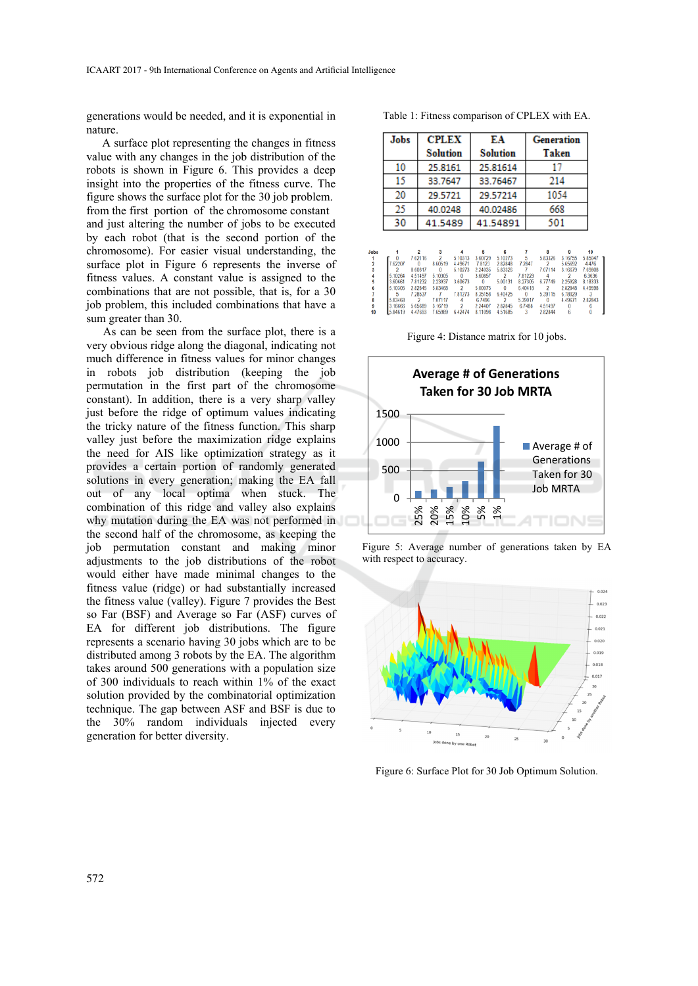generations would be needed, and it is exponential in nature.

A surface plot representing the changes in fitness value with any changes in the job distribution of the robots is shown in Figure 6. This provides a deep insight into the properties of the fitness curve. The figure shows the surface plot for the 30 job problem. from the first portion of the chromosome constant and just altering the number of jobs to be executed by each robot (that is the second portion of the chromosome). For easier visual understanding, the surface plot in Figure 6 represents the inverse of fitness values. A constant value is assigned to the combinations that are not possible, that is, for a 30 job problem, this included combinations that have a sum greater than 30.

As can be seen from the surface plot, there is a very obvious ridge along the diagonal, indicating not much difference in fitness values for minor changes in robots job distribution (keeping the job permutation in the first part of the chromosome constant). In addition, there is a very sharp valley just before the ridge of optimum values indicating the tricky nature of the fitness function. This sharp valley just before the maximization ridge explains the need for AIS like optimization strategy as it provides a certain portion of randomly generated solutions in every generation; making the EA fall out of any local optima when stuck. The combination of this ridge and valley also explains why mutation during the EA was not performed in the second half of the chromosome, as keeping the job permutation constant and making minor adjustments to the job distributions of the robot would either have made minimal changes to the fitness value (ridge) or had substantially increased the fitness value (valley). Figure 7 provides the Best so Far (BSF) and Average so Far (ASF) curves of EA for different job distributions. The figure represents a scenario having 30 jobs which are to be distributed among 3 robots by the EA. The algorithm takes around 500 generations with a population size of 300 individuals to reach within 1% of the exact solution provided by the combinatorial optimization technique. The gap between ASF and BSF is due to the 30% random individuals injected every generation for better diversity.

Table 1: Fitness comparison of CPLEX with EA.

| Jobs | <b>CPLEX</b>    | EA              | <b>Generation</b> |  |  |
|------|-----------------|-----------------|-------------------|--|--|
|      | <b>Solution</b> | <b>Solution</b> | <b>Taken</b>      |  |  |
| 10   | 25.8161         | 25.81614        | 17                |  |  |
| 15   | 33.7647         | 33.76467        | 214               |  |  |
| 20   | 29.5721         | 29.57214        | 1054              |  |  |
| 25   | 40.0248         | 40.02486        | 668               |  |  |
| 30   | 41.5489         | 41.54891        | 501               |  |  |

| Jobs |         |          |          |                |             |              |             |                |         |         |
|------|---------|----------|----------|----------------|-------------|--------------|-------------|----------------|---------|---------|
|      |         | 762116   |          | 5.10313        | 360729      | 5 10273      |             | 583326         | 3.16755 | 5.85047 |
|      | 7.62207 |          | 860519   | 4 4 9 6 7 1    | 7.8123      | 282848       | 7.2847      |                | 565692  | 4.476   |
|      |         | 860317   | $\bf{0}$ | 5.10273        | 2 2 4 0 3 5 | 583326       |             | 707114         | 3 16679 | 7.69808 |
|      | 5.10264 | 4,51497  | 5.10305  |                | 360857      |              | 7.81223     |                |         | 6.3636  |
|      | 3.60661 | 781232   | 2.23937  | 3.60673        |             | 5 00131      | 8 2 7 3 0 5 | 677749         | 225928  | 8.18333 |
|      | 5.10305 | 282845   | 583468   | $\overline{2}$ | 5.00075     | $\mathbf{0}$ | 6.40418     | $\overline{2}$ | 282848  | 4 49598 |
|      |         | 7 28 537 |          | 781273         | 8.35158     | 640425       | $^{\circ}$  | 539115         | 6.78029 |         |
|      | 5.83468 |          | 7.07117  |                | 6.7496      |              | 5.39017     | $\theta$       | 4,49671 | 282843  |
| 9    | 3.16666 | 565689   | 3.16719  |                | 2 24407     | 282845       | 67488       | 4.51497        |         |         |
| 10   | 584619  | 447693   | 765989   | 642474         | 8.11098     | 451685       | 3           | 282844         |         |         |
|      |         |          |          |                |             |              |             |                |         |         |

Figure 4: Distance matrix for 10 jobs.



Figure 5: Average number of generations taken by EA with respect to accuracy.



Figure 6: Surface Plot for 30 Job Optimum Solution.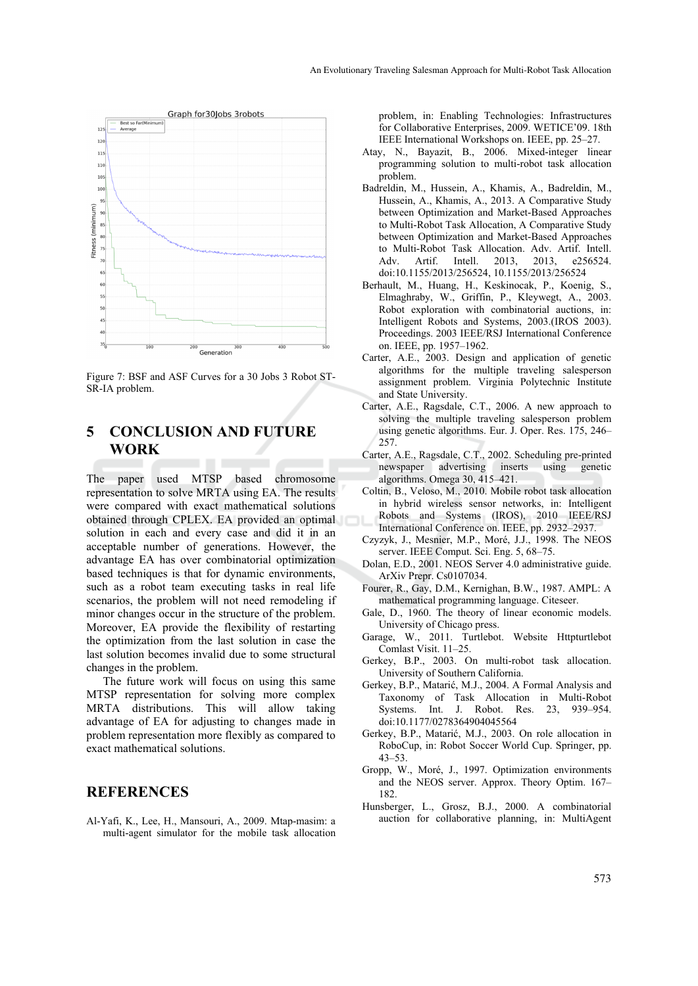

Figure 7: BSF and ASF Curves for a 30 Jobs 3 Robot ST-SR-IA problem.

# **5 CONCLUSION AND FUTURE WORK**

The paper used MTSP based chromosome representation to solve MRTA using EA. The results were compared with exact mathematical solutions obtained through CPLEX. EA provided an optimal solution in each and every case and did it in an acceptable number of generations. However, the advantage EA has over combinatorial optimization based techniques is that for dynamic environments, such as a robot team executing tasks in real life scenarios, the problem will not need remodeling if minor changes occur in the structure of the problem. Moreover, EA provide the flexibility of restarting the optimization from the last solution in case the last solution becomes invalid due to some structural changes in the problem.

The future work will focus on using this same MTSP representation for solving more complex MRTA distributions. This will allow taking advantage of EA for adjusting to changes made in problem representation more flexibly as compared to exact mathematical solutions.

# **REFERENCES**

Al-Yafi, K., Lee, H., Mansouri, A., 2009. Mtap-masim: a multi-agent simulator for the mobile task allocation problem, in: Enabling Technologies: Infrastructures for Collaborative Enterprises, 2009. WETICE'09. 18th IEEE International Workshops on. IEEE, pp. 25–27.

- Atay, N., Bayazit, B., 2006. Mixed-integer linear programming solution to multi-robot task allocation problem.
- Badreldin, M., Hussein, A., Khamis, A., Badreldin, M., Hussein, A., Khamis, A., 2013. A Comparative Study between Optimization and Market-Based Approaches to Multi-Robot Task Allocation, A Comparative Study between Optimization and Market-Based Approaches to Multi-Robot Task Allocation. Adv. Artif. Intell. Adv. Artif. Intell. 2013, 2013, e256524. doi:10.1155/2013/256524, 10.1155/2013/256524
- Berhault, M., Huang, H., Keskinocak, P., Koenig, S., Elmaghraby, W., Griffin, P., Kleywegt, A., 2003. Robot exploration with combinatorial auctions, in: Intelligent Robots and Systems, 2003.(IROS 2003). Proceedings. 2003 IEEE/RSJ International Conference on. IEEE, pp. 1957–1962.
- Carter, A.E., 2003. Design and application of genetic algorithms for the multiple traveling salesperson assignment problem. Virginia Polytechnic Institute and State University.
- Carter, A.E., Ragsdale, C.T., 2006. A new approach to solving the multiple traveling salesperson problem using genetic algorithms. Eur. J. Oper. Res. 175, 246– 257.
- Carter, A.E., Ragsdale, C.T., 2002. Scheduling pre-printed newspaper advertising inserts using genetic algorithms. Omega 30, 415–421.
- Coltin, B., Veloso, M., 2010. Mobile robot task allocation in hybrid wireless sensor networks, in: Intelligent Robots and Systems (IROS), 2010 IEEE/RSJ International Conference on. IEEE, pp. 2932–2937.
- Czyzyk, J., Mesnier, M.P., Moré, J.J., 1998. The NEOS server. IEEE Comput. Sci. Eng. 5, 68–75.
- Dolan, E.D., 2001. NEOS Server 4.0 administrative guide. ArXiv Prepr. Cs0107034.
- Fourer, R., Gay, D.M., Kernighan, B.W., 1987. AMPL: A mathematical programming language. Citeseer.
- Gale, D., 1960. The theory of linear economic models. University of Chicago press.
- Garage, W., 2011. Turtlebot. Website Httpturtlebot Comlast Visit. 11–25.
- Gerkey, B.P., 2003. On multi-robot task allocation. University of Southern California.
- Gerkey, B.P., Matarić, M.J., 2004. A Formal Analysis and Taxonomy of Task Allocation in Multi-Robot Systems. Int. J. Robot. Res. 23, 939–954. doi:10.1177/0278364904045564
- Gerkey, B.P., Matarić, M.J., 2003. On role allocation in RoboCup, in: Robot Soccer World Cup. Springer, pp. 43–53.
- Gropp, W., Moré, J., 1997. Optimization environments and the NEOS server. Approx. Theory Optim. 167– 182.
- Hunsberger, L., Grosz, B.J., 2000. A combinatorial auction for collaborative planning, in: MultiAgent